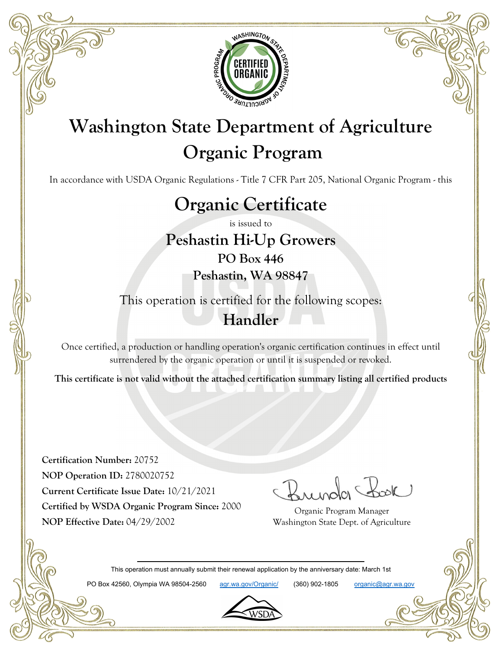

# **Washington State Department of Agriculture Organic Program**

In accordance with USDA Organic Regulations - Title 7 CFR Part 205, National Organic Program - this

# **Organic Certificate**

is issued to

**Peshastin Hi-Up Growers PO Box 446 Peshastin, WA 98847**

This operation is certified for the following scopes:

## **Handler**

Once certified, a production or handling operation's organic certification continues in effect until surrendered by the organic operation or until it is suspended or revoked.

**This certificate is not valid without the attached certification summary listing all certified products**

**Certification Number:** 20752 **NOP Operation ID:** 2780020752 **Current Certificate Issue Date:** 10/21/2021 **Certified by WSDA Organic Program Since:** 2000 **NOP Effective Date:** 04/29/2002

Organic Program Manager Washington State Dept. of Agriculture

This operation must annually submit their renewal application by the anniversary date: March 1st

PO Box 42560, Olympia WA 98504-2560 agr.wa.gov/Organic/ (360) 902-1805 organic@agr.wa.gov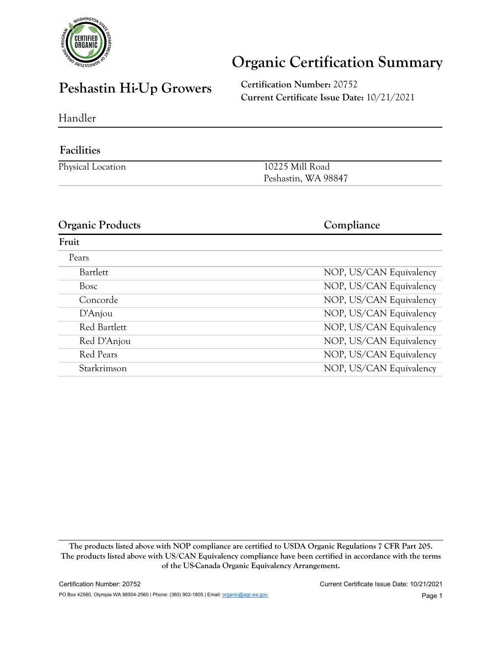

## **Organic Certification Summary**

### **Peshastin Hi-Up Growers Certification Number: 20752**

**Current Certificate Issue Date:** 10/21/2021

Handler

### **Facilities**

| Physical Location | 10225 Mill Road     |
|-------------------|---------------------|
|                   | Peshastin, WA 98847 |

| <b>Organic Products</b> | Compliance              |
|-------------------------|-------------------------|
| Fruit                   |                         |
| Pears                   |                         |
| Bartlett                | NOP, US/CAN Equivalency |
| Bosc                    | NOP, US/CAN Equivalency |
| Concorde                | NOP, US/CAN Equivalency |
| D'Anjou                 | NOP, US/CAN Equivalency |
| Red Bartlett            | NOP, US/CAN Equivalency |
| Red D'Anjou             | NOP, US/CAN Equivalency |
| Red Pears               | NOP, US/CAN Equivalency |
| Starkrimson             | NOP, US/CAN Equivalency |

**The products listed above with NOP compliance are certified to USDA Organic Regulations 7 CFR Part 205. The products listed above with US/CAN Equivalency compliance have been certified in accordance with the terms of the US-Canada Organic Equivalency Arrangement.**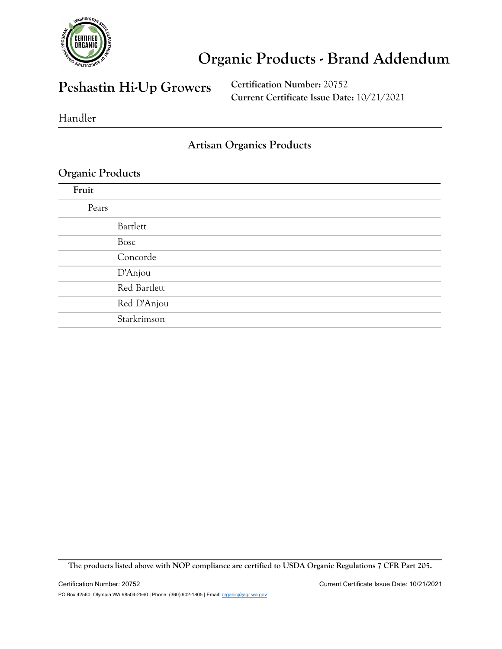

### **Peshastin Hi-Up Growers**

**Certification Number:** 20752 **Current Certificate Issue Date:** 10/21/2021

Handler

#### **Artisan Organics Products**

#### **Organic Products**

| Fruit |              |
|-------|--------------|
| Pears |              |
|       | Bartlett     |
|       | Bosc         |
|       | Concorde     |
|       | D'Anjou      |
|       | Red Bartlett |
|       | Red D'Anjou  |
|       | Starkrimson  |

**The products listed above with NOP compliance are certified to USDA Organic Regulations 7 CFR Part 205.**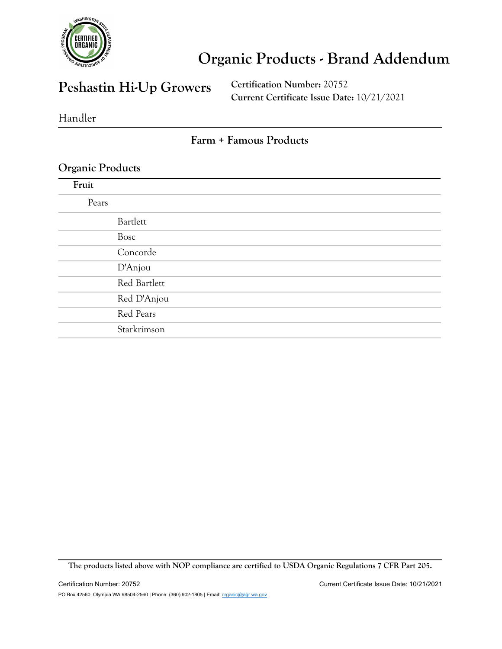

### **Peshastin Hi-Up Growers**

**Certification Number:** 20752 **Current Certificate Issue Date:** 10/21/2021

Handler

#### **Farm + Famous Products**

#### **Organic Products**

| Fruit |              |
|-------|--------------|
| Pears |              |
|       | Bartlett     |
|       | Bosc         |
|       | Concorde     |
|       | D'Anjou      |
|       | Red Bartlett |
|       | Red D'Anjou  |
|       | Red Pears    |
|       | Starkrimson  |
|       |              |

**The products listed above with NOP compliance are certified to USDA Organic Regulations 7 CFR Part 205.**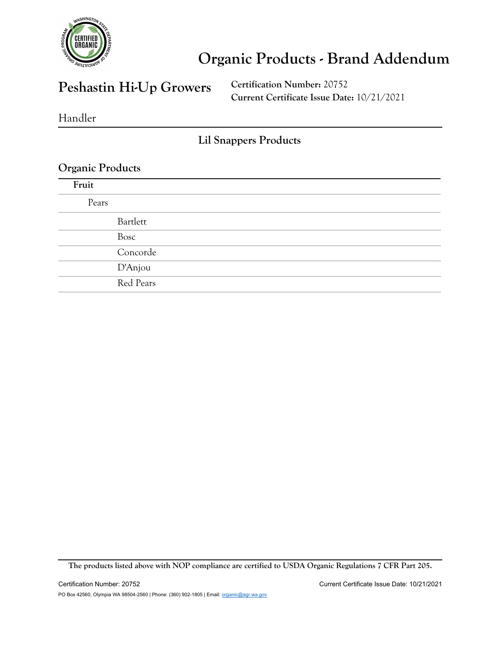

### **Peshastin Hi-Up Growers**

**Certification Number:** 20752 **Current Certificate Issue Date:** 10/21/2021

Handler

**Lil Snappers Products**

#### **Organic Products**

| Fruit |           |
|-------|-----------|
| Pears |           |
|       | Bartlett  |
|       | Bosc      |
|       | Concorde  |
|       | D'Anjou   |
|       | Red Pears |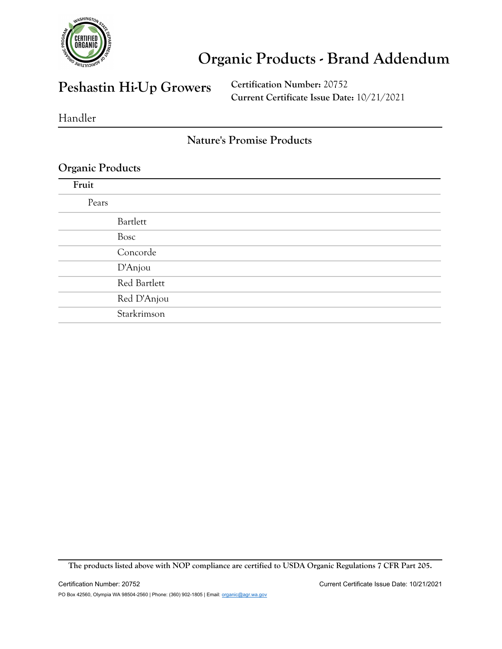

### **Peshastin Hi-Up Growers**

**Certification Number:** 20752 **Current Certificate Issue Date:** 10/21/2021

Handler

### **Nature's Promise Products**

#### **Organic Products**

| Fruit |              |
|-------|--------------|
| Pears |              |
|       | Bartlett     |
|       | <b>Bosc</b>  |
|       | Concorde     |
|       | D'Anjou      |
|       | Red Bartlett |
|       | Red D'Anjou  |
|       | Starkrimson  |

**The products listed above with NOP compliance are certified to USDA Organic Regulations 7 CFR Part 205.**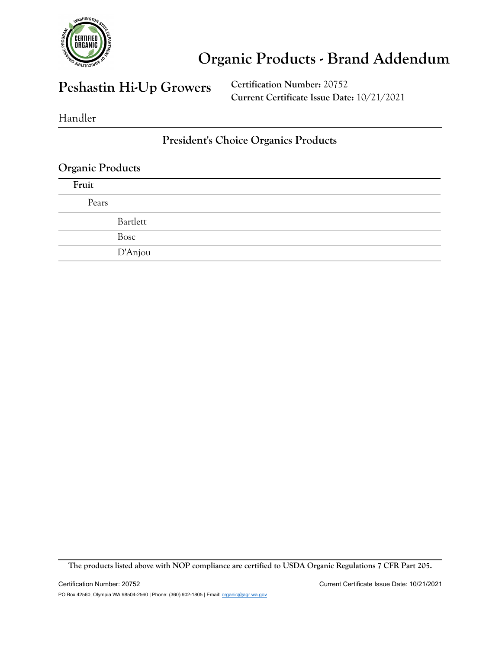

### **Peshastin Hi-Up Growers**

**Certification Number:** 20752 **Current Certificate Issue Date:** 10/21/2021

Handler

### **President's Choice Organics Products**

#### **Organic Products**

| Fruit |          |
|-------|----------|
| Pears |          |
|       | Bartlett |
|       | Bosc     |
|       | D'Anjou  |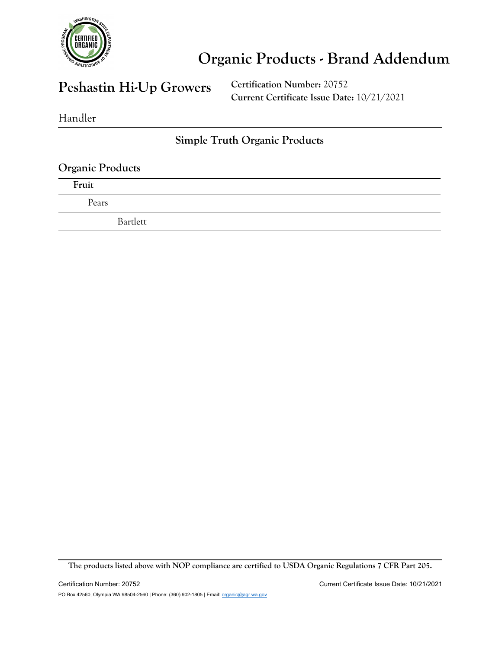

### **Peshastin Hi-Up Growers**

**Certification Number:** 20752 **Current Certificate Issue Date:** 10/21/2021

Handler

### **Simple Truth Organic Products**

#### **Organic Products**

**Fruit** Pears Bartlett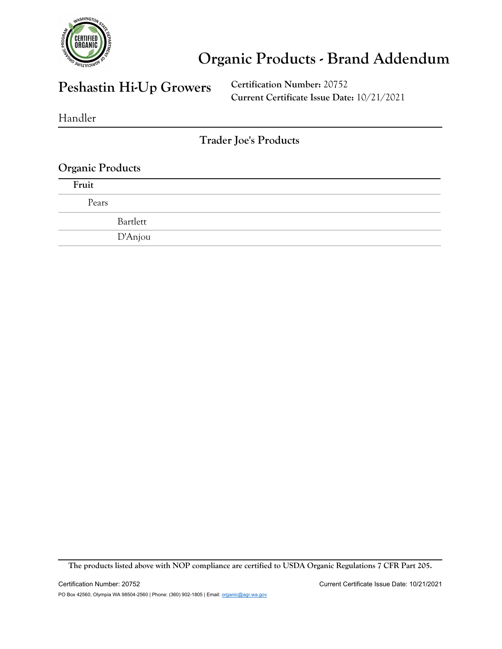

### **Peshastin Hi-Up Growers**

**Certification Number:** 20752 **Current Certificate Issue Date:** 10/21/2021

Handler

**Trader Joe's Products**

### **Organic Products Fruit** Pears Bartlett D'Anjou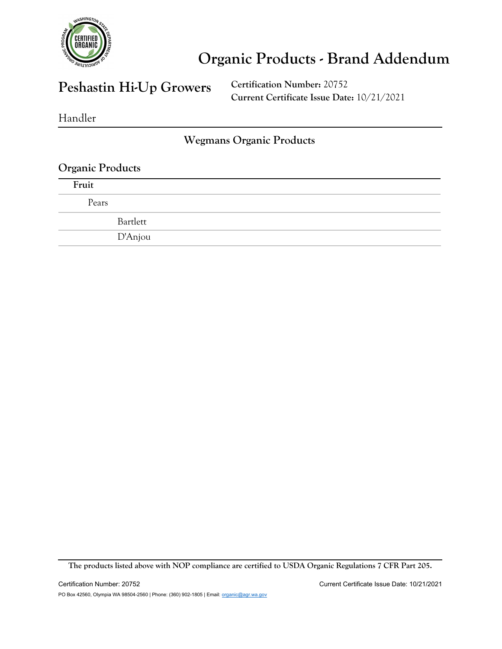

### **Peshastin Hi-Up Growers**

**Certification Number:** 20752 **Current Certificate Issue Date:** 10/21/2021

Handler

#### **Wegmans Organic Products**

| <b>Organic Products</b> |          |
|-------------------------|----------|
| Fruit                   |          |
| Pears                   |          |
|                         | Bartlett |
|                         | D'Anjou  |